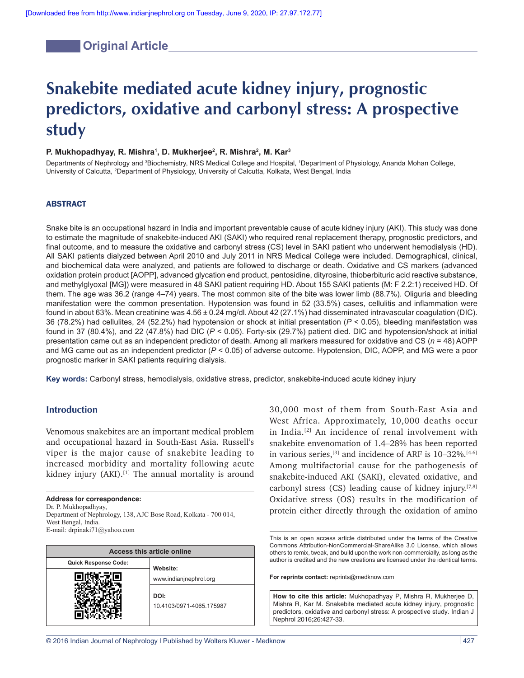# **Coriginal Article**

# **Snakebite mediated acute kidney injury, prognostic predictors, oxidative and carbonyl stress: A prospective study**

## **P. Mukhopadhyay, R. Mishra1 , D. Mukherjee2 , R. Mishra2 , M. Kar3**

Departments of Nephrology and <sup>3</sup>Biochemistry, NRS Medical College and Hospital, 1Department of Physiology, Ananda Mohan College, University of Calcutta, <sup>2</sup>Department of Physiology, University of Calcutta, Kolkata, West Bengal, India

#### ABSTRACT

Snake bite is an occupational hazard in India and important preventable cause of acute kidney injury (AKI). This study was done to estimate the magnitude of snakebite-induced AKI (SAKI) who required renal replacement therapy, prognostic predictors, and final outcome, and to measure the oxidative and carbonyl stress (CS) level in SAKI patient who underwent hemodialysis (HD). All SAKI patients dialyzed between April 2010 and July 2011 in NRS Medical College were included. Demographical, clinical, and biochemical data were analyzed, and patients are followed to discharge or death. Oxidative and CS markers (advanced oxidation protein product [AOPP], advanced glycation end product, pentosidine, dityrosine, thioberbituric acid reactive substance, and methylglyoxal [MG]) were measured in 48 SAKI patient requiring HD. About 155 SAKI patients (M: F 2.2:1) received HD. Of them. The age was 36.2 (range 4–74) years. The most common site of the bite was lower limb (88.7%). Oliguria and bleeding manifestation were the common presentation. Hypotension was found in 52 (33.5%) cases, cellulitis and inflammation were found in about 63%. Mean creatinine was 4.56 ± 0.24 mg/dl. About 42 (27.1%) had disseminated intravascular coagulation (DIC). 36 (78.2%) had cellulites, 24 (52.2%) had hypotension or shock at initial presentation (*P* < 0.05), bleeding manifestation was found in 37 (80.4%), and 22 (47.8%) had DIC (*P* < 0.05). Forty‑six (29.7%) patient died. DIC and hypotension/shock at initial presentation came out as an independent predictor of death. Among all markers measured for oxidative and CS (*n* = 48) AOPP and MG came out as an independent predictor (*P* < 0.05) of adverse outcome. Hypotension, DIC, AOPP, and MG were a poor prognostic marker in SAKI patients requiring dialysis.

Key words: Carbonyl stress, hemodialysis, oxidative stress, predictor, snakebite-induced acute kidney injury

## **Introduction**

Venomous snakebites are an important medical problem and occupational hazard in South-East Asia. Russell's viper is the major cause of snakebite leading to increased morbidity and mortality following acute kidney injury  $(AKI)$ .<sup>[1]</sup> The annual mortality is around

#### **Address for correspondence:**

Dr. P. Mukhopadhyay, Department of Nephrology, 138, AJC Bose Road, Kolkata ‑ 700 014,

West Bengal, India. E‑mail: drpinaki71@yahoo.com

| <b>Access this article online</b> |                          |  |  |
|-----------------------------------|--------------------------|--|--|
| Quick Response Code:              | Website:                 |  |  |
|                                   | www.indianjnephrol.org   |  |  |
|                                   | DOI:                     |  |  |
|                                   | 10.4103/0971-4065.175987 |  |  |
|                                   |                          |  |  |

30,000 most of them from South-East Asia and West Africa. Approximately, 10,000 deaths occur in India.[2] An incidence of renal involvement with snakebite envenomation of 1.4–28% has been reported in various series,<sup>[3]</sup> and incidence of ARF is  $10-32\%$ .<sup>[4-6]</sup> Among multifactorial cause for the pathogenesis of snakebite-induced AKI (SAKI), elevated oxidative, and carbonyl stress  $(CS)$  leading cause of kidney injury.<sup>[7,8]</sup> Oxidative stress (OS) results in the modification of protein either directly through the oxidation of amino

This is an open access article distributed under the terms of the Creative Commons Attribution‑NonCommercial‑ShareAlike 3.0 License, which allows others to remix, tweak, and build upon the work non‑commercially, as long as the author is credited and the new creations are licensed under the identical terms.

**For reprints contact:** reprints@medknow.com

**How to cite this article:** Mukhopadhyay P, Mishra R, Mukherjee D, Mishra R, Kar M. Snakebite mediated acute kidney injury, prognostic predictors, oxidative and carbonyl stress: A prospective study. Indian J Nephrol 2016;26:427-33.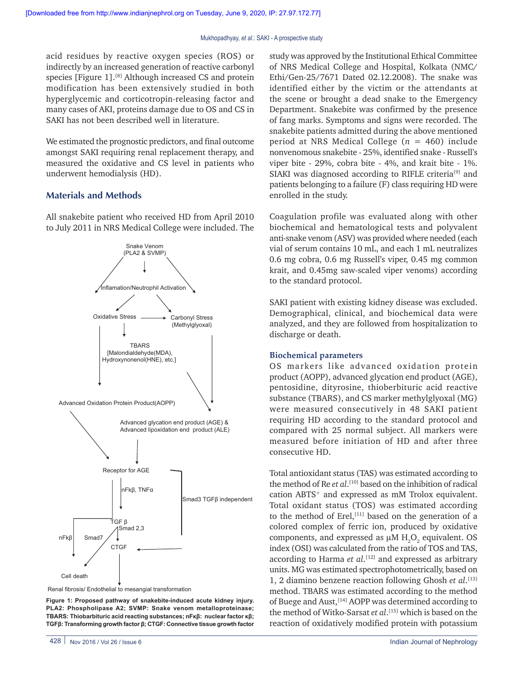acid residues by reactive oxygen species (ROS) or indirectly by an increased generation of reactive carbonyl species [Figure 1].<sup>[8]</sup> Although increased CS and protein modification has been extensively studied in both hyperglycemic and corticotropin-releasing factor and many cases of AKI, proteins damage due to OS and CS in SAKI has not been described well in literature.

We estimated the prognostic predictors, and final outcome amongst SAKI requiring renal replacement therapy, and measured the oxidative and CS level in patients who underwent hemodialysis (HD).

## **Materials and Methods**

All snakebite patient who received HD from April 2010 to July 2011 in NRS Medical College were included. The



Renal fibrosis/ Endothelial to mesangial transformation

**Figure 1: Proposed pathway of snakebite-induced acute kidney injury. PLA2: Phospholipase A2; SVMP: Snake venom metalloproteinase; TBARS: Thiobarbituric acid reacting substances; nFκβ: nuclear factor κβ; TGFβ: Transforming growth factor β; CTGF: Connective tissue growth factor** study was approved by the Institutional Ethical Committee of NRS Medical College and Hospital, Kolkata (NMC/ Ethi/Gen-25/7671 Dated 02.12.2008). The snake was identified either by the victim or the attendants at the scene or brought a dead snake to the Emergency Department. Snakebite was confirmed by the presence of fang marks. Symptoms and signs were recorded. The snakebite patients admitted during the above mentioned period at NRS Medical College (*n* = 460) include nonvenomous snakebite - 25%, identified snake - Russell's viper bite - 29%, cobra bite - 4%, and krait bite - 1%. SIAKI was diagnosed according to RIFLE criteria<sup>[9]</sup> and patients belonging to a failure (F) class requiring HD were enrolled in the study.

Coagulation profile was evaluated along with other biochemical and hematological tests and polyvalent anti-snake venom (ASV) was provided where needed (each vial of serum contains 10 mL, and each 1 mL neutralizes 0.6 mg cobra, 0.6 mg Russell's viper, 0.45 mg common krait, and 0.45mg saw-scaled viper venoms) according to the standard protocol.

SAKI patient with existing kidney disease was excluded. Demographical, clinical, and biochemical data were analyzed, and they are followed from hospitalization to discharge or death.

#### **Biochemical parameters**

OS markers like advanced oxidation protein product (AOPP), advanced glycation end product (AGE), pentosidine, dityrosine, thioberbituric acid reactive substance (TBARS), and CS marker methylglyoxal (MG) were measured consecutively in 48 SAKI patient requiring HD according to the standard protocol and compared with 25 normal subject. All markers were measured before initiation of HD and after three consecutive HD.

Total antioxidant status (TAS) was estimated according to the method of Re *et al*. [10] based on the inhibition of radical cation ABTS+ and expressed as mM Trolox equivalent. Total oxidant status (TOS) was estimated according to the method of Erel,<sup>[11]</sup> based on the generation of a colored complex of ferric ion, produced by oxidative components, and expressed as  $\mu$ M  $H_2O_2$  equivalent. OS index (OSI) was calculated from the ratio of TOS and TAS, according to Harma *et al*. [12] and expressed as arbitrary units. MG was estimated spectrophotometrically, based on 1, 2 diamino benzene reaction following Ghosh *et al*. [13] method. TBARS was estimated according to the method of Buege and Aust, [14] AOPP was determined according to the method of Witko-Sarsat *et al*. [15] which is based on the reaction of oxidatively modified protein with potassium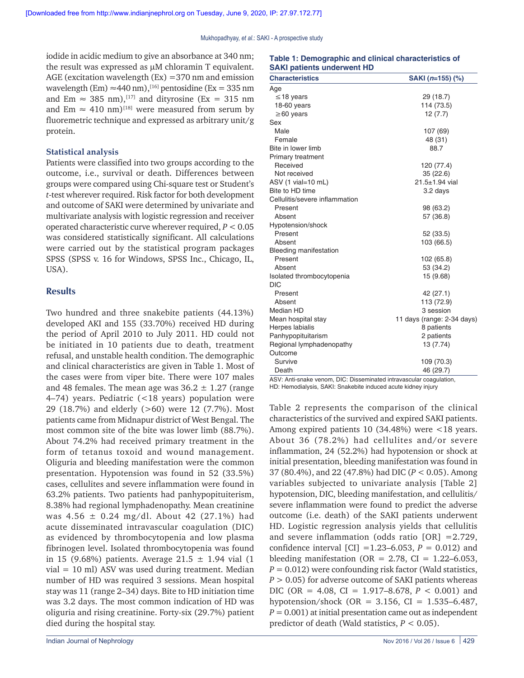iodide in acidic medium to give an absorbance at 340 nm; the result was expressed as µM chloramin T equivalent. AGE (excitation wavelength  $(Ex) = 370$  nm and emission wavelength (Em)  $\approx$  440 nm),<sup>[16]</sup> pentosidine (Ex = 335 nm) and Em  $\approx$  385 nm),<sup>[17]</sup> and dityrosine (Ex = 315 nm) and Em  $\approx$  410 nm)<sup>[18]</sup> were measured from serum by fluoremetric technique and expressed as arbitrary unit/g protein.

#### **Statistical analysis**

Patients were classified into two groups according to the outcome, i.e., survival or death. Differences between groups were compared using Chi-square test or Student's *t*-test wherever required. Risk factor for both development and outcome of SAKI were determined by univariate and multivariate analysis with logistic regression and receiver operated characteristic curve wherever required, *P* < 0.05 was considered statistically significant. All calculations were carried out by the statistical program packages SPSS (SPSS v. 16 for Windows, SPSS Inc., Chicago, IL, USA).

### **Results**

Two hundred and three snakebite patients (44.13%) developed AKI and 155 (33.70%) received HD during the period of April 2010 to July 2011. HD could not be initiated in 10 patients due to death, treatment refusal, and unstable health condition. The demographic and clinical characteristics are given in Table 1. Most of the cases were from viper bite. There were 107 males and 48 females. The mean age was  $36.2 \pm 1.27$  (range 4–74) years. Pediatric (<18 years) population were 29 (18.7%) and elderly (>60) were 12 (7.7%). Most patients came from Midnapur district of West Bengal. The most common site of the bite was lower limb (88.7%). About 74.2% had received primary treatment in the form of tetanus toxoid and wound management. Oliguria and bleeding manifestation were the common presentation. Hypotension was found in 52 (33.5%) cases, cellulites and severe inflammation were found in 63.2% patients. Two patients had panhypopituiterism, 8.38% had regional lymphadenopathy. Mean creatinine was 4.56  $\pm$  0.24 mg/dl. About 42 (27.1%) had acute disseminated intravascular coagulation (DIC) as evidenced by thrombocytopenia and low plasma fibrinogen level. Isolated thrombocytopenia was found in 15 (9.68%) patients. Average  $21.5 \pm 1.94$  vial (1 vial = 10 ml) ASV was used during treatment. Median number of HD was required 3 sessions. Mean hospital stay was 11 (range 2–34) days. Bite to HD initiation time was 3.2 days. The most common indication of HD was oliguria and rising creatinine. Forty-six (29.7%) patient died during the hospital stay.

| <b>SAKI patients underwent HD</b> |                            |  |  |  |
|-----------------------------------|----------------------------|--|--|--|
| <b>Characteristics</b>            | SAKI (n=155) (%)           |  |  |  |
| Age                               |                            |  |  |  |
| $\leq$ 18 years                   | 29 (18.7)                  |  |  |  |
| 18-60 years                       | 114 (73.5)                 |  |  |  |
| $\geq 60$ years                   | 12 (7.7)                   |  |  |  |
| Sex                               |                            |  |  |  |
| Male                              | 107 (69)                   |  |  |  |
| Female                            | 48 (31)                    |  |  |  |
| Bite in lower limb                | 88.7                       |  |  |  |
| <b>Primary treatment</b>          |                            |  |  |  |
| Received                          | 120 (77.4)                 |  |  |  |
| Not received                      | 35(22.6)                   |  |  |  |
| ASV (1 vial=10 mL)                | $21.5 + 1.94$ vial         |  |  |  |
| Bite to HD time                   | 3.2 days                   |  |  |  |
| Cellulitis/severe inflammation    |                            |  |  |  |
| Present                           | 98 (63.2)                  |  |  |  |
| Absent                            | 57 (36.8)                  |  |  |  |
| Hypotension/shock                 |                            |  |  |  |
| Present                           | 52 (33.5)                  |  |  |  |
| Absent                            | 103 (66.5)                 |  |  |  |
| <b>Bleeding manifestation</b>     |                            |  |  |  |
| Present                           | 102 (65.8)                 |  |  |  |
| Absent                            | 53 (34.2)                  |  |  |  |
| Isolated thrombocytopenia         | 15 (9.68)                  |  |  |  |
| <b>DIC</b>                        |                            |  |  |  |
| Present                           | 42 (27.1)                  |  |  |  |
| Absent                            | 113 (72.9)                 |  |  |  |
| Median HD                         | 3 session                  |  |  |  |
| Mean hospital stay                | 11 days (range: 2-34 days) |  |  |  |
| Herpes labialis                   | 8 patients                 |  |  |  |
| Panhypopituitarism                | 2 patients                 |  |  |  |
| Regional lymphadenopathy          | 13 (7.74)                  |  |  |  |
| Outcome                           |                            |  |  |  |
| Survive                           | 109 (70.3)                 |  |  |  |
| Death                             | 46 (29.7)                  |  |  |  |

**Table 1: Demographic and clinical characteristics of** 

ASV: Anti-snake venom, DIC: Disseminated intravascular coagulation, HD: Hemodialysis, SAKI: Snakebite induced acute kidney injury

Table 2 represents the comparison of the clinical characteristics of the survived and expired SAKI patients. Among expired patients 10 (34.48%) were <18 years. About 36 (78.2%) had cellulites and/or severe inflammation, 24 (52.2%) had hypotension or shock at initial presentation, bleeding manifestation was found in 37 (80.4%), and 22 (47.8%) had DIC (*P* < 0.05). Among variables subjected to univariate analysis [Table 2] hypotension, DIC, bleeding manifestation, and cellulitis/ severe inflammation were found to predict the adverse outcome (i.e. death) of the SAKI patients underwent HD. Logistic regression analysis yields that cellulitis and severe inflammation (odds ratio [OR] =2.729, confidence interval  $\text{[CI]} = 1.23 - 6.053$ ,  $P = 0.012$ ) and bleeding manifestation (OR =  $2.78$ , CI =  $1.22-6.053$ ,  $P = 0.012$ ) were confounding risk factor (Wald statistics, *P* > 0.05) for adverse outcome of SAKI patients whereas DIC (OR = 4.08, CI = 1.917–8.678, *P* < 0.001) and hypotension/shock (OR = 3.156, CI = 1.535–6.487,  $P = 0.001$ ) at initial presentation came out as independent predictor of death (Wald statistics, *P* < 0.05).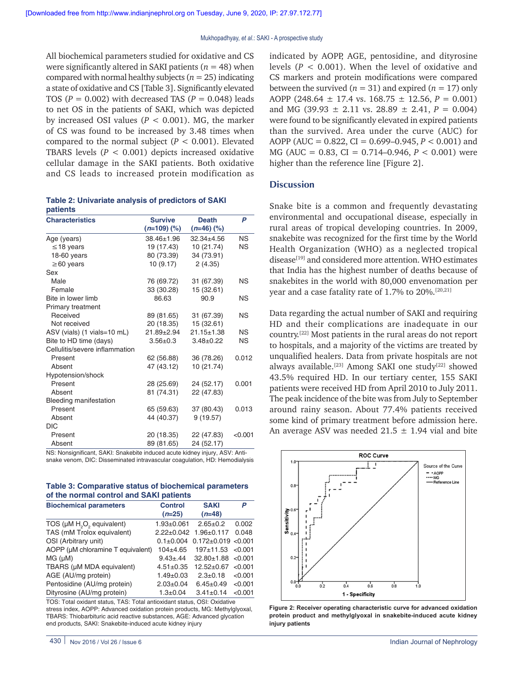All biochemical parameters studied for oxidative and CS were significantly altered in SAKI patients  $(n = 48)$  when compared with normal healthy subjects ( $n = 25$ ) indicating a state of oxidative and CS [Table 3]. Significantly elevated TOS ( $P = 0.002$ ) with decreased TAS ( $P = 0.048$ ) leads to net OS in the patients of SAKI, which was depicted by increased OSI values ( $P < 0.001$ ). MG, the marker of CS was found to be increased by 3.48 times when compared to the normal subject  $(P < 0.001)$ . Elevated TBARS levels  $(P < 0.001)$  depicts increased oxidative cellular damage in the SAKI patients. Both oxidative and CS leads to increased protein modification as

|          | Table 2: Univariate analysis of predictors of SAKI |  |  |
|----------|----------------------------------------------------|--|--|
| patients |                                                    |  |  |

| <b>Characteristics</b>         | <b>Survive</b><br>$(n=109)$ (%) | <b>Death</b><br>$(n=46)$ (%) | P         |
|--------------------------------|---------------------------------|------------------------------|-----------|
| Age (years)                    | 38.46±1.96                      | $32.34 \pm 4.56$             | <b>NS</b> |
| $\leq$ 18 years                | 19 (17.43)                      | 10 (21.74)                   | ΝS        |
| 18-60 years                    | 80 (73.39)                      | 34 (73.91)                   |           |
| $\geq 60$ years                | 10(9.17)                        | 2(4.35)                      |           |
| Sex                            |                                 |                              |           |
| Male                           | 76 (69.72)                      | 31 (67.39)                   | ΝS        |
| Female                         | 33 (30.28)                      | 15 (32.61)                   |           |
| Bite in lower limb             | 86.63                           | 90.9                         | ΝS        |
| Primary treatment              |                                 |                              |           |
| Received                       | 89 (81.65)                      | 31 (67.39)                   | <b>NS</b> |
| Not received                   | 20 (18.35)                      | 15(32.61)                    |           |
| ASV (vials) (1 vials=10 mL)    | 21.89±2.94                      | $21.15 \pm 1.38$             | <b>NS</b> |
| Bite to HD time (days)         | $3.56 \pm 0.3$                  | $3.48 \pm 0.22$              | ΝS        |
| Cellulitis/severe inflammation |                                 |                              |           |
| Present                        | 62 (56.88)                      | 36 (78.26)                   | 0.012     |
| Absent                         | 47 (43.12)                      | 10 (21.74)                   |           |
| Hypotension/shock              |                                 |                              |           |
| Present                        | 28 (25.69)                      | 24 (52.17)                   | 0.001     |
| Absent                         | 81 (74.31)                      | 22 (47.83)                   |           |
| Bleeding manifestation         |                                 |                              |           |
| Present                        | 65 (59.63)                      | 37 (80.43)                   | 0.013     |
| Absent                         | 44 (40.37)                      | 9(19.57)                     |           |
| <b>DIC</b>                     |                                 |                              |           |
| Present                        | 20 (18.35)                      | 22 (47.83)                   | < 0.001   |
| Absent                         | 89 (81.65)                      | 24 (52.17)                   |           |

NS: Nonsignificant, SAKI: Snakebite induced acute kidney injury, ASV: Antisnake venom, DIC: Disseminated intravascular coagulation, HD: Hemodialysis

**Table 3: Comparative status of biochemical parameters of the normal control and SAKI patients**

| <b>Biochemical parameters</b>                     | <b>Control</b><br>$(n=25)$ | <b>SAKI</b><br>$(n=48)$   | P       |
|---------------------------------------------------|----------------------------|---------------------------|---------|
| TOS (µM H <sub>2</sub> O <sub>2</sub> equivalent) | $1.93 + 0.061$             | $2.65 \pm 0.2$            | 0.002   |
| TAS (mM Trolox equivalent)                        |                            | 2.22±0.042 1.96±0.117     | 0.048   |
| OSI (Arbitrary unit)                              | $0.1 \pm 0.004$            | $0.172 \pm 0.019$ < 0.001 |         |
| AOPP (µM chloramine T equivalent)                 | $104+4.65$                 | $197+11.53$               | < 0.001 |
| MG (µM)                                           | $9.43 \pm .44$             | $32.80 \pm 1.88$ < 0.001  |         |
| TBARS (µM MDA equivalent)                         | $4.51 \pm 0.35$            | $12.52+0.67$              | < 0.001 |
| AGE (AU/mg protein)                               | $1.49 \pm 0.03$            | $2.3 \pm 0.18$            | < 0.001 |
| Pentosidine (AU/mg protein)                       | $2.03 \pm 0.04$            | $6.45 \pm 0.49$           | < 0.001 |
| Dityrosine (AU/mg protein)                        | $1.3 + 0.04$               | $3.41 \pm 0.14$           | < 0.001 |

TOS: Total oxidant status, TAS: Total antioxidant status, OSI: Oxidative stress index, AOPP: Advanced oxidation protein products, MG: Methylglyoxal, TBARS: Thiobarbituric acid reactive substances, AGE: Advanced glycation end products, SAKI: Snakebite-induced acute kidney injury

indicated by AOPP, AGE, pentosidine, and dityrosine levels  $(P < 0.001)$ . When the level of oxidative and CS markers and protein modifications were compared between the survived ( $n = 31$ ) and expired ( $n = 17$ ) only AOPP (248.64 ± 17.4 vs. 168.75 ± 12.56, *P* = 0.001) and MG (39.93  $\pm$  2.11 vs. 28.89  $\pm$  2.41,  $P = 0.004$ ) were found to be significantly elevated in expired patients than the survived. Area under the curve (AUC) for AOPP (AUC = 0.822, CI = 0.699–0.945, *P* < 0.001) and MG (AUC = 0.83, CI = 0.714–0.946, *P* < 0.001) were higher than the reference line [Figure 2].

#### **Discussion**

Snake bite is a common and frequently devastating environmental and occupational disease, especially in rural areas of tropical developing countries. In 2009, snakebite was recognized for the first time by the World Health Organization (WHO) as a neglected tropical disease<sup>[19]</sup> and considered more attention. WHO estimates that India has the highest number of deaths because of snakebites in the world with 80,000 envenomation per year and a case fatality rate of 1.7% to 20%.<sup>[20,21]</sup>

Data regarding the actual number of SAKI and requiring HD and their complications are inadequate in our country.[22] Most patients in the rural areas do not report to hospitals, and a majority of the victims are treated by unqualified healers. Data from private hospitals are not always available.<sup>[23]</sup> Among SAKI one study<sup>[22]</sup> showed 43.5% required HD. In our tertiary center, 155 SAKI patients were received HD from April 2010 to July 2011. The peak incidence of the bite was from July to September around rainy season. About 77.4% patients received some kind of primary treatment before admission here. An average ASV was needed  $21.5 \pm 1.94$  vial and bite



**Figure 2: Receiver operating characteristic curve for advanced oxidation protein product and methylglyoxal in snakebite-induced acute kidney injury patients**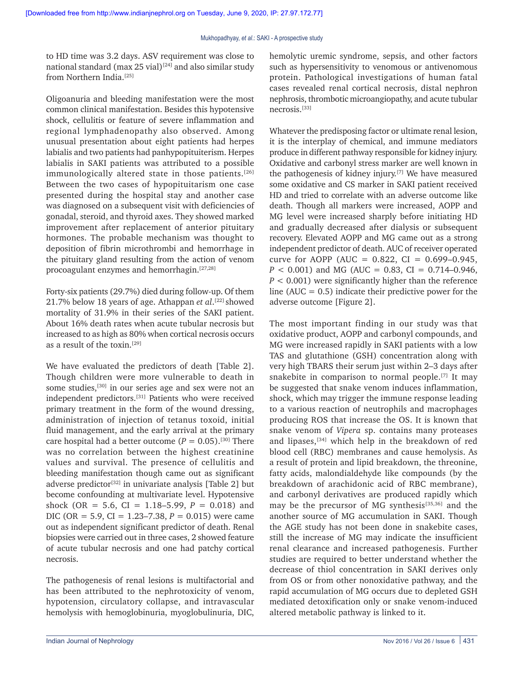to HD time was 3.2 days. ASV requirement was close to national standard (max 25 vial)<sup>[24]</sup> and also similar study from Northern India.[25]

Oligoanuria and bleeding manifestation were the most common clinical manifestation. Besides this hypotensive shock, cellulitis or feature of severe inflammation and regional lymphadenopathy also observed. Among unusual presentation about eight patients had herpes labialis and two patients had panhypopituiterism. Herpes labialis in SAKI patients was attributed to a possible immunologically altered state in those patients.<sup>[26]</sup> Between the two cases of hypopituitarism one case presented during the hospital stay and another case was diagnosed on a subsequent visit with deficiencies of gonadal, steroid, and thyroid axes. They showed marked improvement after replacement of anterior pituitary hormones. The probable mechanism was thought to deposition of fibrin microthrombi and hemorrhage in the pituitary gland resulting from the action of venom procoagulant enzymes and hemorrhagin.[27,28]

Forty-six patients (29.7%) died during follow-up. Of them 21.7% below 18 years of age. Athappan *et al*. [22] showed mortality of 31.9% in their series of the SAKI patient. About 16% death rates when acute tubular necrosis but increased to as high as 80% when cortical necrosis occurs as a result of the toxin.[29]

We have evaluated the predictors of death [Table 2]. Though children were more vulnerable to death in some studies,<sup>[30]</sup> in our series age and sex were not an independent predictors.[31] Patients who were received primary treatment in the form of the wound dressing, administration of injection of tetanus toxoid, initial fluid management, and the early arrival at the primary care hospital had a better outcome  $(P = 0.05)$ .<sup>[30]</sup> There was no correlation between the highest creatinine values and survival. The presence of cellulitis and bleeding manifestation though came out as significant adverse predictor<sup>[32]</sup> in univariate analysis [Table 2] but become confounding at multivariate level. Hypotensive shock (OR = 5.6, CI =  $1.18-5.99$ ,  $P = 0.018$ ) and DIC (OR = 5.9, CI = 1.23–7.38,  $P = 0.015$ ) were came out as independent significant predictor of death. Renal biopsies were carried out in three cases, 2 showed feature of acute tubular necrosis and one had patchy cortical necrosis.

The pathogenesis of renal lesions is multifactorial and has been attributed to the nephrotoxicity of venom, hypotension, circulatory collapse, and intravascular hemolysis with hemoglobinuria, myoglobulinuria, DIC, hemolytic uremic syndrome, sepsis, and other factors such as hypersensitivity to venomous or antivenomous protein. Pathological investigations of human fatal cases revealed renal cortical necrosis, distal nephron nephrosis, thrombotic microangiopathy, and acute tubular necrosis.[33]

Whatever the predisposing factor or ultimate renal lesion, it is the interplay of chemical, and immune mediators produce in different pathway responsible for kidney injury. Oxidative and carbonyl stress marker are well known in the pathogenesis of kidney injury.[7] We have measured some oxidative and CS marker in SAKI patient received HD and tried to correlate with an adverse outcome like death. Though all markers were increased, AOPP and MG level were increased sharply before initiating HD and gradually decreased after dialysis or subsequent recovery. Elevated AOPP and MG came out as a strong independent predictor of death. AUC of receiver operated curve for AOPP (AUC =  $0.822$ , CI =  $0.699 - 0.945$ ,  $P < 0.001$ ) and MG (AUC = 0.83, CI = 0.714–0.946, *P* < 0.001) were significantly higher than the reference line ( $AUC = 0.5$ ) indicate their predictive power for the adverse outcome [Figure 2].

The most important finding in our study was that oxidative product, AOPP and carbonyl compounds, and MG were increased rapidly in SAKI patients with a low TAS and glutathione (GSH) concentration along with very high TBARS their serum just within 2–3 days after snakebite in comparison to normal people.<sup>[7]</sup> It may be suggested that snake venom induces inflammation, shock, which may trigger the immune response leading to a various reaction of neutrophils and macrophages producing ROS that increase the OS. It is known that snake venom of *Vipera* sp. contains many proteases and lipases,[34] which help in the breakdown of red blood cell (RBC) membranes and cause hemolysis. As a result of protein and lipid breakdown, the threonine, fatty acids, malondialdehyde like compounds (by the breakdown of arachidonic acid of RBC membrane), and carbonyl derivatives are produced rapidly which may be the precursor of MG synthesis<sup>[35,36]</sup> and the another source of MG accumulation in SAKI. Though the AGE study has not been done in snakebite cases, still the increase of MG may indicate the insufficient renal clearance and increased pathogenesis. Further studies are required to better understand whether the decrease of thiol concentration in SAKI derives only from OS or from other nonoxidative pathway, and the rapid accumulation of MG occurs due to depleted GSH mediated detoxification only or snake venom-induced altered metabolic pathway is linked to it.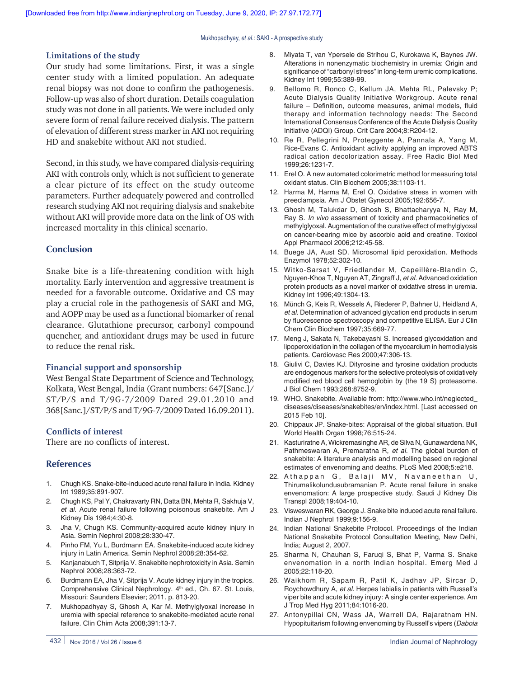Mukhopadhyay, *et al*.: SAKI ‑ A prospective study

#### **Limitations of the study**

Our study had some limitations. First, it was a single center study with a limited population. An adequate renal biopsy was not done to confirm the pathogenesis. Follow-up was also of short duration. Details coagulation study was not done in all patients. We were included only severe form of renal failure received dialysis. The pattern of elevation of different stress marker in AKI not requiring HD and snakebite without AKI not studied.

Second, in this study, we have compared dialysis-requiring AKI with controls only, which is not sufficient to generate a clear picture of its effect on the study outcome parameters. Further adequately powered and controlled research studying AKI not requiring dialysis and snakebite without AKI will provide more data on the link of OS with increased mortality in this clinical scenario.

## **Conclusion**

Snake bite is a life-threatening condition with high mortality. Early intervention and aggressive treatment is needed for a favorable outcome. Oxidative and CS may play a crucial role in the pathogenesis of SAKI and MG, and AOPP may be used as a functional biomarker of renal clearance. Glutathione precursor, carbonyl compound quencher, and antioxidant drugs may be used in future to reduce the renal risk.

## **Financial support and sponsorship**

West Bengal State Department of Science and Technology, Kolkata, West Bengal, India (Grant numbers: 647[Sanc.]/ ST/P/S and T/9G-7/2009 Dated 29.01.2010 and 368[Sanc.]/ST/P/S and T/9G-7/2009 Dated 16.09.2011).

#### **Conflicts of interest**

There are no conflicts of interest.

## **References**

- 1. Chugh KS. Snake-bite-induced acute renal failure in India. Kidney Int 1989;35:891‑907.
- 2. Chugh KS, Pal Y, Chakravarty RN, Datta BN, Mehta R, Sakhuja V, *et al.* Acute renal failure following poisonous snakebite. Am J Kidney Dis 1984;4:30‑8.
- 3. Jha V, Chugh KS. Community-acquired acute kidney injury in Asia. Semin Nephrol 2008;28:330‑47.
- 4. Pinho FM, Yu L, Burdmann EA. Snakebite-induced acute kidney injury in Latin America. Semin Nephrol 2008;28:354‑62.
- 5. Kanjanabuch T, Sitprija V. Snakebite nephrotoxicity in Asia. Semin Nephrol 2008;28:363‑72.
- 6. Burdmann EA, Jha V, Sitprija V. Acute kidney injury in the tropics. Comprehensive Clinical Nephrology. 4<sup>th</sup> ed., Ch. 67. St. Louis, Missouri: Saunders Elsevier; 2011. p. 813‑20.
- 7. Mukhopadhyay S, Ghosh A, Kar M. Methylglyoxal increase in uremia with special reference to snakebite‑mediated acute renal failure. Clin Chim Acta 2008;391:13‑7.
- 8. Miyata T, van Ypersele de Strihou C, Kurokawa K, Baynes JW. Alterations in nonenzymatic biochemistry in uremia: Origin and significance of "carbonyl stress" in long-term uremic complications. Kidney Int 1999;55:389‑99.
- 9. Bellomo R, Ronco C, Kellum JA, Mehta RL, Palevsky P; Acute Dialysis Quality Initiative Workgroup. Acute renal failure – Definition, outcome measures, animal models, fluid therapy and information technology needs: The Second International Consensus Conference of the Acute Dialysis Quality Initiative (ADQI) Group. Crit Care 2004;8:R204‑12.
- 10. Re R, Pellegrini N, Proteggente A, Pannala A, Yang M, Rice‑Evans C. Antioxidant activity applying an improved ABTS radical cation decolorization assay. Free Radic Biol Med 1999;26:1231‑7.
- 11. Erel O. A new automated colorimetric method for measuring total oxidant status. Clin Biochem 2005;38:1103‑11.
- 12. Harma M, Harma M, Erel O. Oxidative stress in women with preeclampsia. Am J Obstet Gynecol 2005;192:656‑7.
- 13. Ghosh M, Talukdar D, Ghosh S, Bhattacharyya N, Ray M, Ray S. *In vivo* assessment of toxicity and pharmacokinetics of methylglyoxal. Augmentation of the curative effect of methylglyoxal on cancer‑bearing mice by ascorbic acid and creatine. Toxicol Appl Pharmacol 2006;212:45‑58.
- 14. Buege JA, Aust SD. Microsomal lipid peroxidation. Methods Enzymol 1978;52:302‑10.
- 15. Witko‑Sarsat V, Friedlander M, Capeillère‑Blandin C, Nguyen‑Khoa T, Nguyen AT, Zingraff J, *et al.* Advanced oxidation protein products as a novel marker of oxidative stress in uremia. Kidney Int 1996;49:1304‑13.
- 16. Münch G, Keis R, Wessels A, Riederer P, Bahner U, Heidland A, *et al.* Determination of advanced glycation end products in serum by fluorescence spectroscopy and competitive ELISA. Eur J Clin Chem Clin Biochem 1997;35:669‑77.
- 17. Meng J, Sakata N, Takebayashi S. Increased glycoxidation and lipoperoxidation in the collagen of the myocardium in hemodialysis patients. Cardiovasc Res 2000;47:306‑13.
- 18. Giulivi C, Davies KJ. Dityrosine and tyrosine oxidation products are endogenous markers for the selective proteolysis of oxidatively modified red blood cell hemoglobin by (the 19 S) proteasome. J Biol Chem 1993;268:8752‑9.
- 19. WHO. Snakebite. Available from: http://www.who.int/neglected\_ diseases/diseases/snakebites/en/index.html. [Last accessed on 2015 Feb 10].
- 20. Chippaux JP. Snake-bites: Appraisal of the global situation. Bull World Health Organ 1998;76:515‑24.
- 21. Kasturiratne A, Wickremasinghe AR, de Silva N, Gunawardena NK, Pathmeswaran A, Premaratna R, *et al.* The global burden of snakebite: A literature analysis and modelling based on regional estimates of envenoming and deaths. PLoS Med 2008;5:e218.
- 22. Athappan G, Balaji MV, Navaneethan U, Thirumalikolundusubramanian P. Acute renal failure in snake envenomation: A large prospective study. Saudi J Kidney Dis Transpl 2008;19:404‑10.
- 23. Visweswaran RK, George J. Snake bite induced acute renal failure. Indian J Nephrol 1999;9:156‑9.
- 24. Indian National Snakebite Protocol. Proceedings of the Indian National Snakebite Protocol Consultation Meeting, New Delhi, India; August 2, 2007.
- 25. Sharma N, Chauhan S, Faruqi S, Bhat P, Varma S. Snake envenomation in a north Indian hospital. Emerg Med J 2005;22:118‑20.
- 26. Waikhom R, Sapam R, Patil K, Jadhav JP, Sircar D, Roychowdhury A, *et al.* Herpes labialis in patients with Russell's viper bite and acute kidney injury: A single center experience. Am J Trop Med Hyg 2011;84:1016‑20.
- 27. Antonypillai CN, Wass JA, Warrell DA, Rajaratnam HN. Hypopituitarism following envenoming by Russell's vipers (*Daboia*